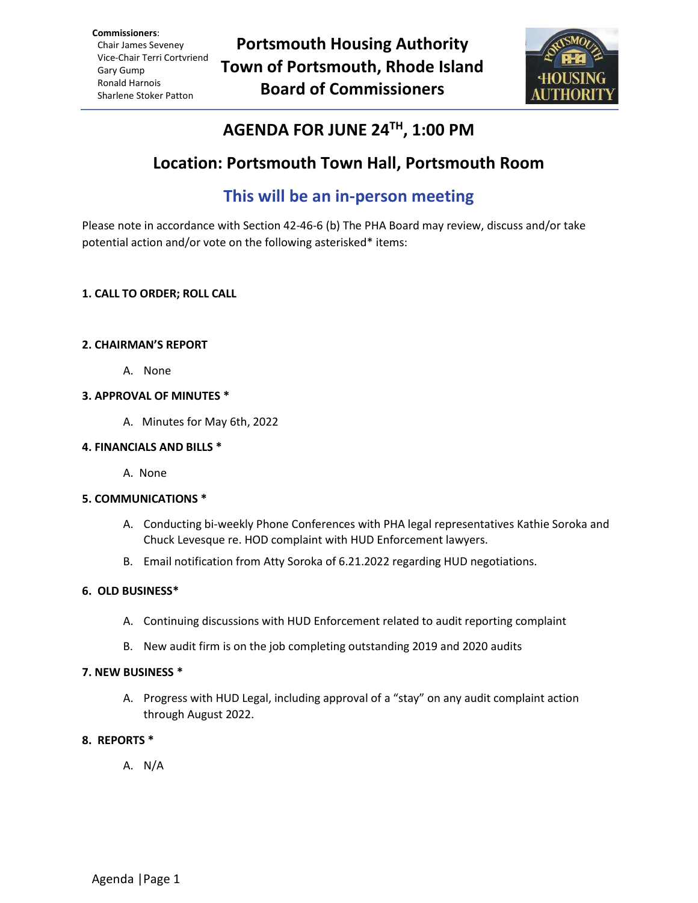**Commissioners**: Chair James Seveney Vice-Chair Terri Cortvriend Gary Gump Ronald Harnois Sharlene Stoker Patton



# **AGENDA FOR JUNE 24TH , 1:00 PM**

# **Location: Portsmouth Town Hall, Portsmouth Room**

# **This will be an in-person meeting**

Please note in accordance with Section 42-46-6 (b) The PHA Board may review, discuss and/or take potential action and/or vote on the following asterisked\* items:

# **1. CALL TO ORDER; ROLL CALL**

### **2. CHAIRMAN'S REPORT**

A. None

### **3. APPROVAL OF MINUTES \***

A. Minutes for May 6th, 2022

### **4. FINANCIALS AND BILLS \***

A. None

# **5. COMMUNICATIONS \***

- A. Conducting bi-weekly Phone Conferences with PHA legal representatives Kathie Soroka and Chuck Levesque re. HOD complaint with HUD Enforcement lawyers.
- B. Email notification from Atty Soroka of 6.21.2022 regarding HUD negotiations.

# **6. OLD BUSINESS\***

- A. Continuing discussions with HUD Enforcement related to audit reporting complaint
- B. New audit firm is on the job completing outstanding 2019 and 2020 audits

#### **7. NEW BUSINESS \***

A. Progress with HUD Legal, including approval of a "stay" on any audit complaint action through August 2022.

# **8. REPORTS \***

A. N/A